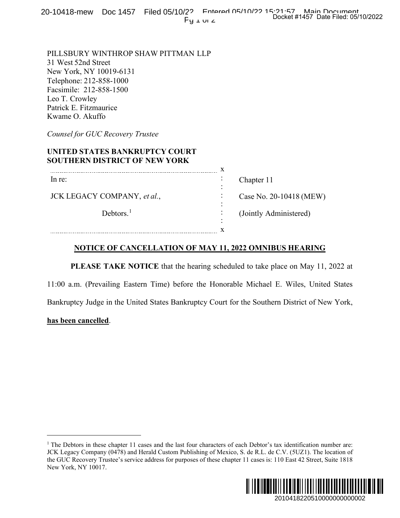20-10418-mew Doc 1457 Filed 05/10/22 Entered 05/10/22 15:21:57 Main Document  $Pu$   $I$   $VI$   $C$ 

## **UNITED STATES BANKRUPTCY COURT SOUTHERN DISTRICT OF NEW YORK**

| $Fy \perp w \neq$                                                                                                                                                                                                                                                                                                                                                                | Docket #1457 Date Filed: 05/10/2022 |
|----------------------------------------------------------------------------------------------------------------------------------------------------------------------------------------------------------------------------------------------------------------------------------------------------------------------------------------------------------------------------------|-------------------------------------|
| PILLSBURY WINTHROP SHAW PITTMAN LLP<br>31 West 52nd Street<br>New York, NY 10019-6131<br>Felephone: 212-858-1000<br>Facsimile: 212-858-1500<br>Leo T. Crowley<br>Patrick E. Fitzmaurice<br>Kwame O. Akuffo                                                                                                                                                                       |                                     |
| Counsel for GUC Recovery Trustee                                                                                                                                                                                                                                                                                                                                                 |                                     |
| UNITED STATES BANKRUPTCY COURT<br><b>SOUTHERN DISTRICT OF NEW YORK</b>                                                                                                                                                                                                                                                                                                           |                                     |
| In re:                                                                                                                                                                                                                                                                                                                                                                           | Chapter 11                          |
| JCK LEGACY COMPANY, et al.,                                                                                                                                                                                                                                                                                                                                                      | Case No. 20-10418 (MEW)             |
| Debtors. $1$                                                                                                                                                                                                                                                                                                                                                                     | (Jointly Administered)              |
|                                                                                                                                                                                                                                                                                                                                                                                  |                                     |
| <b>NOTICE OF CANCELLATION OF MAY 11, 2022 OMNIBUS HEARING</b>                                                                                                                                                                                                                                                                                                                    |                                     |
| PLEASE TAKE NOTICE that the hearing scheduled to take place on May 11, 2022 at                                                                                                                                                                                                                                                                                                   |                                     |
| 11:00 a.m. (Prevailing Eastern Time) before the Honorable Michael E. Wiles, United States                                                                                                                                                                                                                                                                                        |                                     |
| Bankruptcy Judge in the United States Bankruptcy Court for the Southern District of New York,                                                                                                                                                                                                                                                                                    |                                     |
| has been cancelled.                                                                                                                                                                                                                                                                                                                                                              |                                     |
|                                                                                                                                                                                                                                                                                                                                                                                  |                                     |
|                                                                                                                                                                                                                                                                                                                                                                                  |                                     |
|                                                                                                                                                                                                                                                                                                                                                                                  |                                     |
|                                                                                                                                                                                                                                                                                                                                                                                  |                                     |
|                                                                                                                                                                                                                                                                                                                                                                                  |                                     |
|                                                                                                                                                                                                                                                                                                                                                                                  |                                     |
| The Debtors in these chapter 11 cases and the last four characters of each Debtor's tax identification number are:<br>ICK Legacy Company (0478) and Herald Custom Publishing of Mexico, S. de R.L. de C.V. (5UZ1). The location of<br>he GUC Recovery Trustee's service address for purposes of these chapter 11 cases is: 110 East 42 Street, Suite 1818<br>New York, NY 10017. |                                     |
|                                                                                                                                                                                                                                                                                                                                                                                  |                                     |
|                                                                                                                                                                                                                                                                                                                                                                                  | 2010418220510000000000002           |

## **NOTICE OF CANCELLATION OF MAY 11, 2022 OMNIBUS HEARING**

## **has been cancelled**.

<sup>&</sup>lt;sup>1</sup> The Debtors in these chapter 11 cases and the last four characters of each Debtor's tax identification number are: JCK Legacy Company (0478) and Herald Custom Publishing of Mexico, S. de R.L. de C.V. (5UZ1). The location of the GUC Recovery Trustee's service address for purposes of these chapter 11 cases is: 110 East 42 Street, Suite 1818 New York, NY 10017.